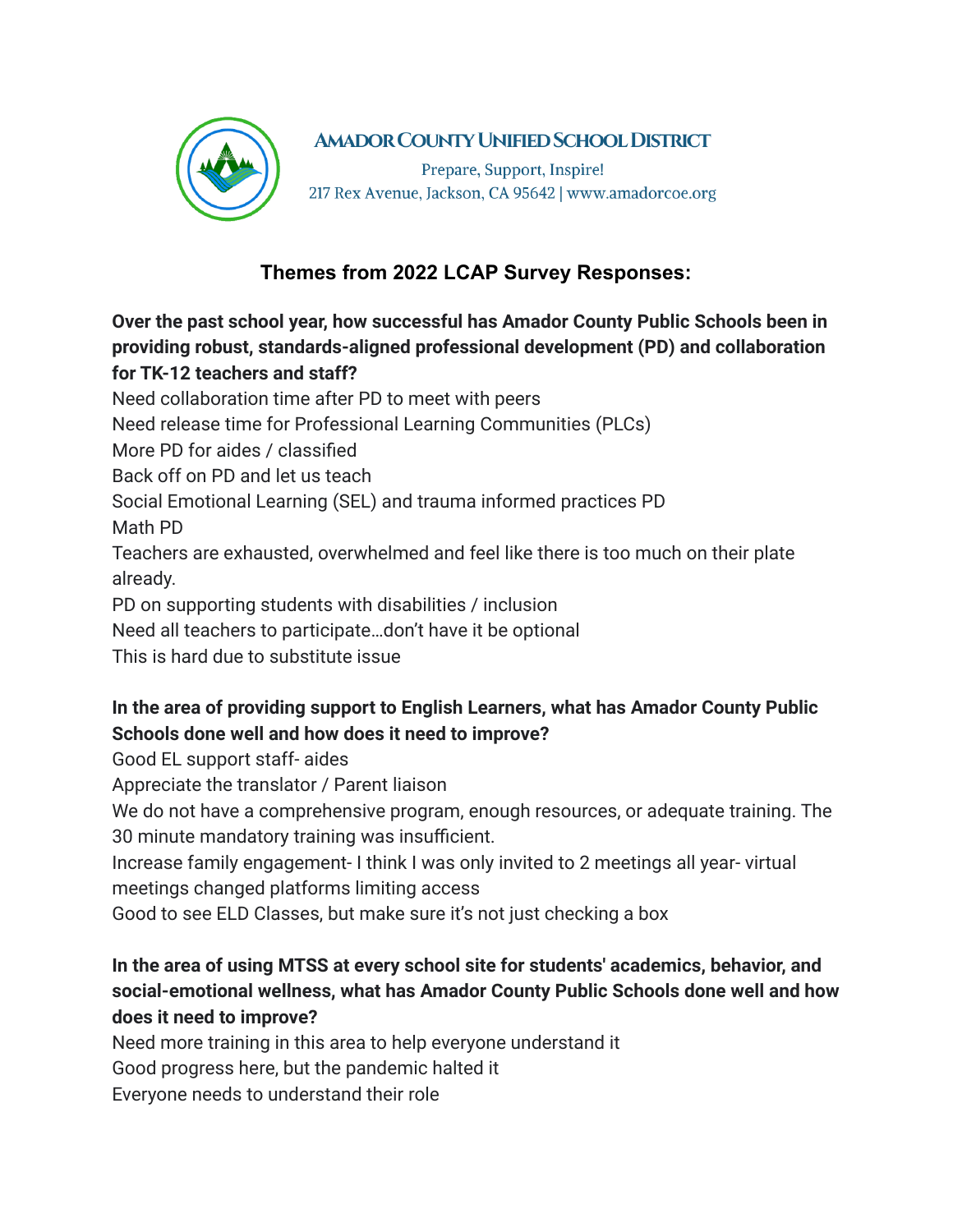

## **AMADOR COUNTY UNIFIED SCHOOL DISTRICT**

Prepare, Support, Inspire! 217 Rex Avenue, Jackson, CA 95642 | www.amadorcoe.org

## **Themes from 2022 LCAP Survey Responses:**

**Over the past school year, how successful has Amador County Public Schools been in providing robust, standards-aligned professional development (PD) and collaboration for TK-12 teachers and staff?**

Need collaboration time after PD to meet with peers

Need release time for Professional Learning Communities (PLCs)

More PD for aides / classified

Back off on PD and let us teach

Social Emotional Learning (SEL) and trauma informed practices PD

Math PD

Teachers are exhausted, overwhelmed and feel like there is too much on their plate already.

PD on supporting students with disabilities / inclusion

Need all teachers to participate…don't have it be optional

This is hard due to substitute issue

## **In the area of providing support to English Learners, what has Amador County Public Schools done well and how does it need to improve?**

Good EL support staff- aides

Appreciate the translator / Parent liaison

We do not have a comprehensive program, enough resources, or adequate training. The 30 minute mandatory training was insufficient.

Increase family engagement- I think I was only invited to 2 meetings all year- virtual meetings changed platforms limiting access

Good to see ELD Classes, but make sure it's not just checking a box

## **In the area of using MTSS at every school site for students' academics, behavior, and social-emotional wellness, what has Amador County Public Schools done well and how does it need to improve?**

Need more training in this area to help everyone understand it

Good progress here, but the pandemic halted it

Everyone needs to understand their role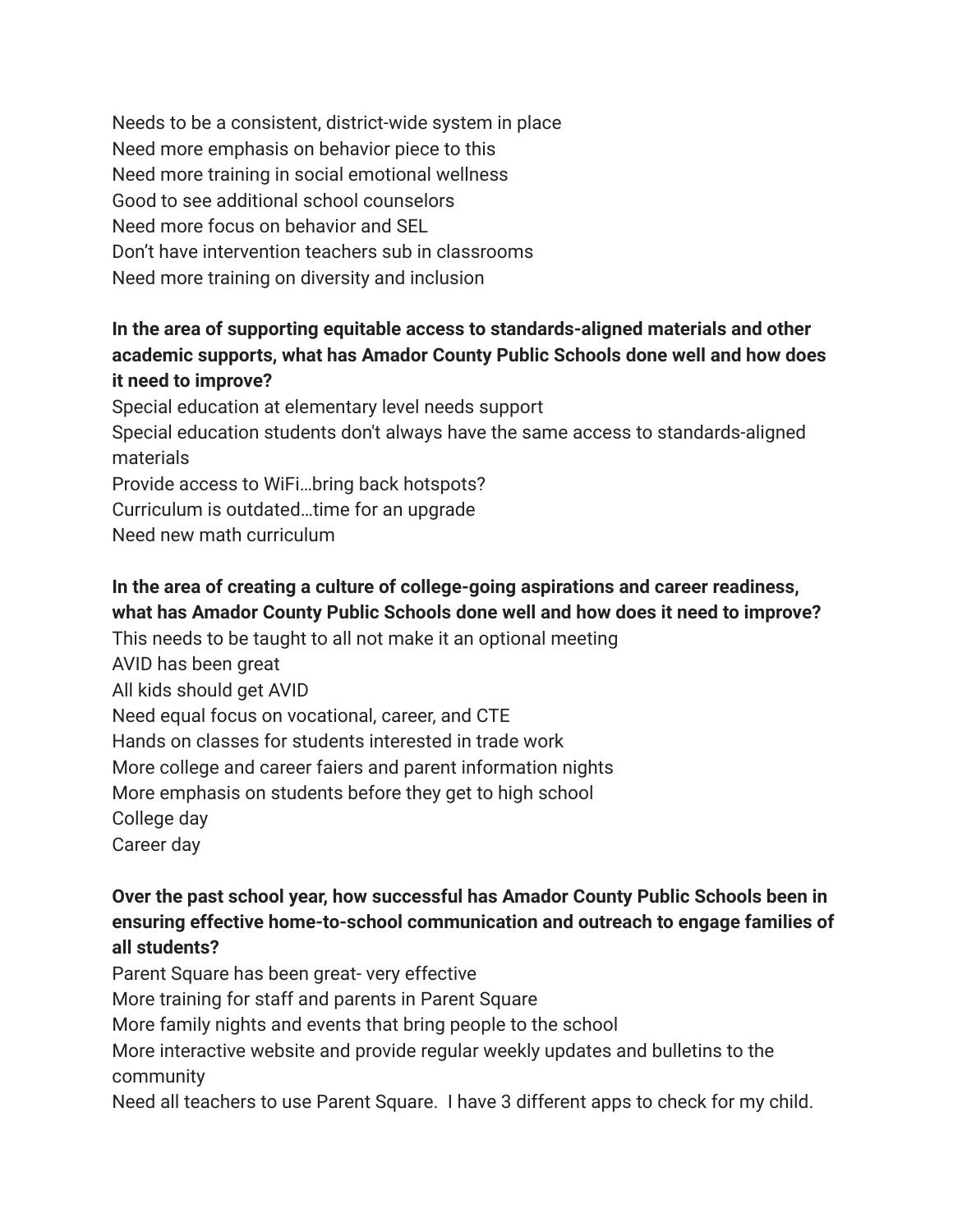Needs to be a consistent, district-wide system in place Need more emphasis on behavior piece to this Need more training in social emotional wellness Good to see additional school counselors Need more focus on behavior and SEL Don't have intervention teachers sub in classrooms Need more training on diversity and inclusion

#### **In the area of supporting equitable access to standards-aligned materials and other academic supports, what has Amador County Public Schools done well and how does it need to improve?**

Special education at elementary level needs support Special education students don't always have the same access to standards-aligned materials Provide access to WiFi…bring back hotspots? Curriculum is outdated…time for an upgrade Need new math curriculum

# **In the area of creating a culture of college-going aspirations and career readiness, what has Amador County Public Schools done well and how does it need to improve?**

This needs to be taught to all not make it an optional meeting AVID has been great All kids should get AVID Need equal focus on vocational, career, and CTE Hands on classes for students interested in trade work More college and career faiers and parent information nights More emphasis on students before they get to high school College day Career day

## **Over the past school year, how successful has Amador County Public Schools been in ensuring effective home-to-school communication and outreach to engage families of all students?**

Parent Square has been great- very effective More training for staff and parents in Parent Square More family nights and events that bring people to the school More interactive website and provide regular weekly updates and bulletins to the community Need all teachers to use Parent Square. I have 3 different apps to check for my child.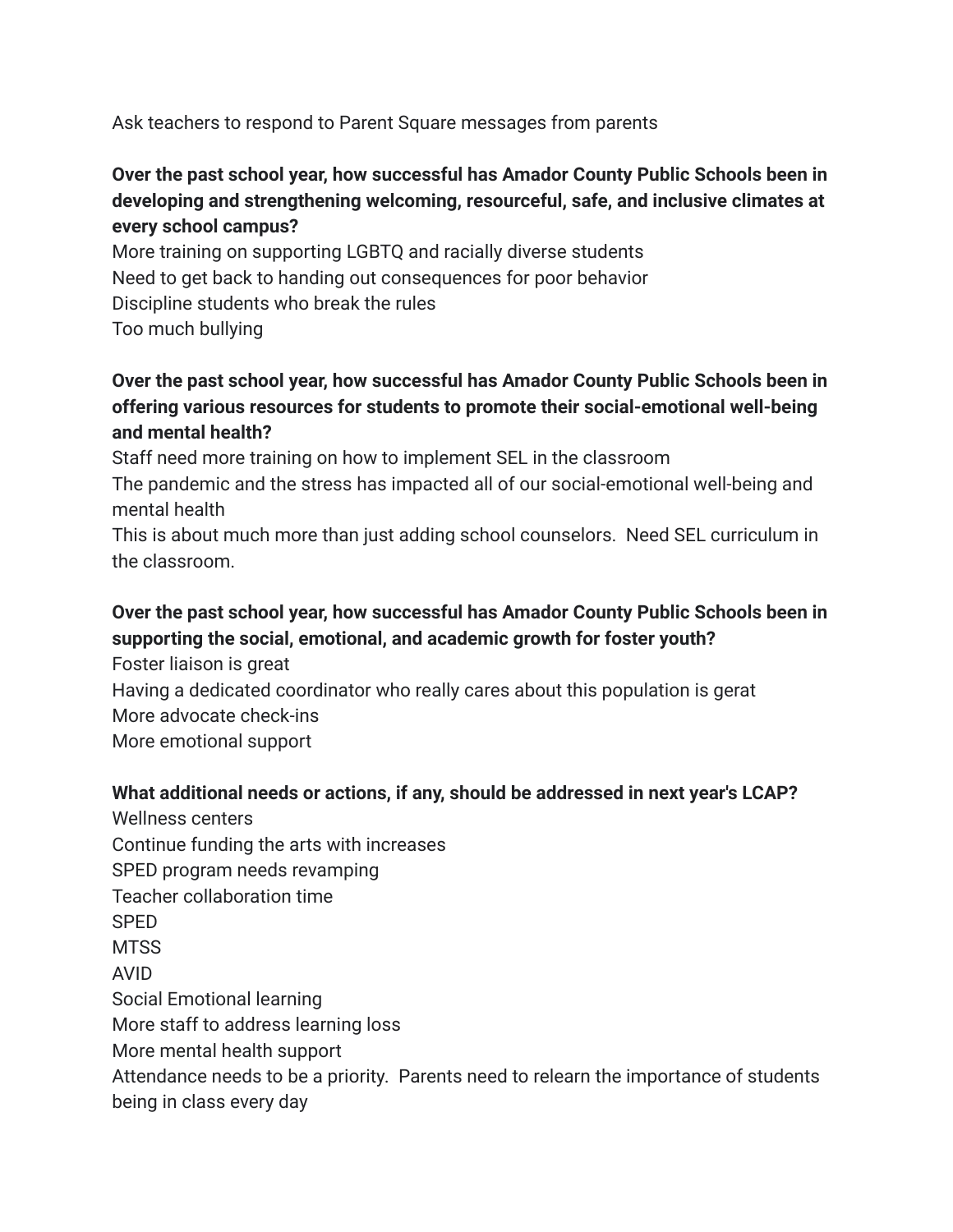Ask teachers to respond to Parent Square messages from parents

#### **Over the past school year, how successful has Amador County Public Schools been in developing and strengthening welcoming, resourceful, safe, and inclusive climates at every school campus?**

More training on supporting LGBTQ and racially diverse students Need to get back to handing out consequences for poor behavior Discipline students who break the rules Too much bullying

#### **Over the past school year, how successful has Amador County Public Schools been in offering various resources for students to promote their social-emotional well-being and mental health?**

Staff need more training on how to implement SEL in the classroom

The pandemic and the stress has impacted all of our social-emotional well-being and mental health

This is about much more than just adding school counselors. Need SEL curriculum in the classroom.

## **Over the past school year, how successful has Amador County Public Schools been in supporting the social, emotional, and academic growth for foster youth?**

Foster liaison is great Having a dedicated coordinator who really cares about this population is gerat More advocate check-ins More emotional support

#### **What additional needs or actions, if any, should be addressed in next year's LCAP?**

Wellness centers Continue funding the arts with increases SPED program needs revamping Teacher collaboration time SPED **MTSS** AVID Social Emotional learning More staff to address learning loss More mental health support Attendance needs to be a priority. Parents need to relearn the importance of students being in class every day